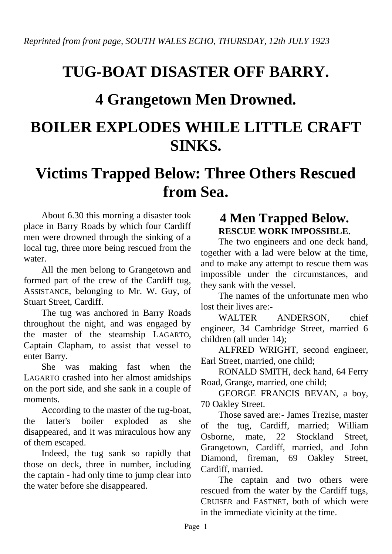## **TUG-BOAT DISASTER OFF BARRY.**

## **4 Grangetown Men Drowned.**

## **BOILER EXPLODES WHILE LITTLE CRAFT SINKS.**

## **Victims Trapped Below: Three Others Rescued from Sea.**

About 6.30 this morning a disaster took place in Barry Roads by which four Cardiff men were drowned through the sinking of a local tug, three more being rescued from the water.

All the men belong to Grangetown and formed part of the crew of the Cardiff tug, ASSISTANCE, belonging to Mr. W. Guy, of Stuart Street, Cardiff.

The tug was anchored in Barry Roads throughout the night, and was engaged by the master of the steamship LAGARTO, Captain Clapham, to assist that vessel to enter Barry.

She was making fast when the LAGARTO crashed into her almost amidships on the port side, and she sank in a couple of moments.

According to the master of the tug-boat, the latter's boiler exploded as she disappeared, and it was miraculous how any of them escaped.

Indeed, the tug sank so rapidly that those on deck, three in number, including the captain - had only time to jump clear into the water before she disappeared.

### **4 Men Trapped Below. RESCUE WORK IMPOSSIBLE.**

The two engineers and one deck hand, together with a lad were below at the time, and to make any attempt to rescue them was impossible under the circumstances, and they sank with the vessel.

The names of the unfortunate men who lost their lives are:-

WALTER ANDERSON, chief engineer, 34 Cambridge Street, married 6 children (all under 14);

ALFRED WRIGHT, second engineer, Earl Street, married, one child;

RONALD SMITH, deck hand, 64 Ferry Road, Grange, married, one child;

GEORGE FRANCIS BEVAN, a boy, 70 Oakley Street.

Those saved are:- James Trezise, master of the tug, Cardiff, married; William Osborne, mate, 22 Stockland Street, Grangetown, Cardiff, married, and John Diamond, fireman, 69 Oakley Street, Cardiff, married.

The captain and two others were rescued from the water by the Cardiff tugs, CRUISER and FASTNET, both of which were in the immediate vicinity at the time.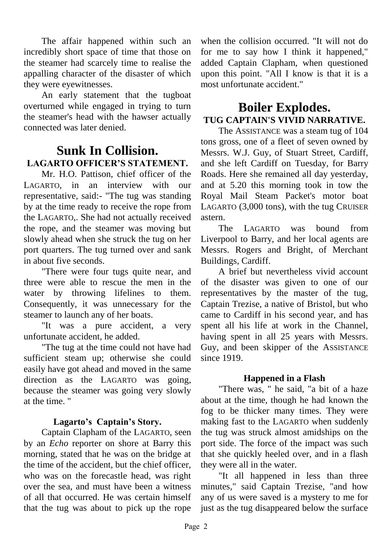The affair happened within such an incredibly short space of time that those on the steamer had scarcely time to realise the appalling character of the disaster of which they were eyewitnesses.

An early statement that the tugboat overturned while engaged in trying to turn the steamer's head with the hawser actually connected was later denied.

### **Sunk In Collision. LAGARTO OFFICER'S STATEMENT.**

Mr. H.O. Pattison, chief officer of the LAGARTO, in an interview with our representative, said:- "The tug was standing by at the time ready to receive the rope from the LAGARTO,. She had not actually received the rope, and the steamer was moving but slowly ahead when she struck the tug on her port quarters. The tug turned over and sank in about five seconds.

"There were four tugs quite near, and three were able to rescue the men in the water by throwing lifelines to them. Consequently, it was unnecessary for the steamer to launch any of her boats.

"It was a pure accident, a very unfortunate accident, he added.

"The tug at the time could not have had sufficient steam up; otherwise she could easily have got ahead and moved in the same direction as the LAGARTO was going, because the steamer was going very slowly at the time. "

#### **Lagarto's Captain's Story.**

Captain Clapham of the LAGARTO, seen by an *Echo* reporter on shore at Barry this morning, stated that he was on the bridge at the time of the accident, but the chief officer, who was on the forecastle head, was right over the sea, and must have been a witness of all that occurred. He was certain himself that the tug was about to pick up the rope

when the collision occurred. "It will not do for me to say how I think it happened," added Captain Clapham, when questioned upon this point. "All I know is that it is a most unfortunate accident."

### **Boiler Explodes. TUG CAPTAIN'S VIVID NARRATIVE.**

The ASSISTANCE was a steam tug of 104 tons gross, one of a fleet of seven owned by Messrs. W.J. Guy, of Stuart Street, Cardiff, and she left Cardiff on Tuesday, for Barry Roads. Here she remained all day yesterday, and at 5.20 this morning took in tow the Royal Mail Steam Packet's motor boat LAGARTO (3,000 tons), with the tug CRUISER astern.

The LAGARTO was bound from Liverpool to Barry, and her local agents are Messrs. Rogers and Bright, of Merchant Buildings, Cardiff.

A brief but nevertheless vivid account of the disaster was given to one of our representatives by the master of the tug, Captain Trezise, a native of Bristol, but who came to Cardiff in his second year, and has spent all his life at work in the Channel, having spent in all 25 years with Messrs. Guy, and been skipper of the ASSISTANCE since 1919.

#### **Happened in a Flash**

"There was, " he said, "a bit of a haze about at the time, though he had known the fog to be thicker many times. They were making fast to the LAGARTO when suddenly the tug was struck almost amidships on the port side. The force of the impact was such that she quickly heeled over, and in a flash they were all in the water.

"It all happened in less than three minutes," said Captain Trezise, "and how any of us were saved is a mystery to me for just as the tug disappeared below the surface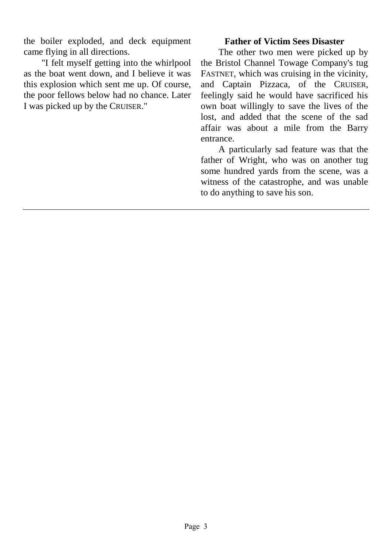the boiler exploded, and deck equipment came flying in all directions.

"I felt myself getting into the whirlpool as the boat went down, and I believe it was this explosion which sent me up. Of course, the poor fellows below had no chance. Later I was picked up by the CRUISER."

#### **Father of Victim Sees Disaster**

The other two men were picked up by the Bristol Channel Towage Company's tug FASTNET, which was cruising in the vicinity, and Captain Pizzaca, of the CRUISER, feelingly said he would have sacrificed his own boat willingly to save the lives of the lost, and added that the scene of the sad affair was about a mile from the Barry entrance.

A particularly sad feature was that the father of Wright, who was on another tug some hundred yards from the scene, was a witness of the catastrophe, and was unable to do anything to save his son.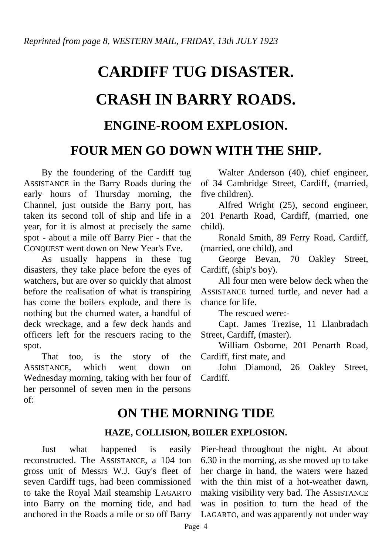# **CARDIFF TUG DISASTER. CRASH IN BARRY ROADS. ENGINE-ROOM EXPLOSION.**

## **FOUR MEN GO DOWN WITH THE SHIP.**

By the foundering of the Cardiff tug ASSISTANCE in the Barry Roads during the early hours of Thursday morning, the Channel, just outside the Barry port, has taken its second toll of ship and life in a year, for it is almost at precisely the same spot - about a mile off Barry Pier - that the CONQUEST went down on New Year's Eve.

As usually happens in these tug disasters, they take place before the eyes of watchers, but are over so quickly that almost before the realisation of what is transpiring has come the boilers explode, and there is nothing but the churned water, a handful of deck wreckage, and a few deck hands and officers left for the rescuers racing to the spot.

That too, is the story of the ASSISTANCE, which went down on Wednesday morning, taking with her four of her personnel of seven men in the persons of:

Walter Anderson (40), chief engineer, of 34 Cambridge Street, Cardiff, (married, five children).

Alfred Wright (25), second engineer, 201 Penarth Road, Cardiff, (married, one child).

Ronald Smith, 89 Ferry Road, Cardiff, (married, one child), and

George Bevan, 70 Oakley Street, Cardiff, (ship's boy).

All four men were below deck when the ASSISTANCE turned turtle, and never had a chance for life.

The rescued were:-

Capt. James Trezise, 11 Llanbradach Street, Cardiff, (master).

William Osborne, 201 Penarth Road, Cardiff, first mate, and

John Diamond, 26 Oakley Street, Cardiff.

## **ON THE MORNING TIDE**

#### **HAZE, COLLISION, BOILER EXPLOSION.**

Just what happened is easily reconstructed. The ASSISTANCE, a 104 ton gross unit of Messrs W.J. Guy's fleet of seven Cardiff tugs, had been commissioned to take the Royal Mail steamship LAGARTO into Barry on the morning tide, and had anchored in the Roads a mile or so off Barry Pier-head throughout the night. At about 6.30 in the morning, as she moved up to take her charge in hand, the waters were hazed with the thin mist of a hot-weather dawn, making visibility very bad. The ASSISTANCE was in position to turn the head of the LAGARTO, and was apparently not under way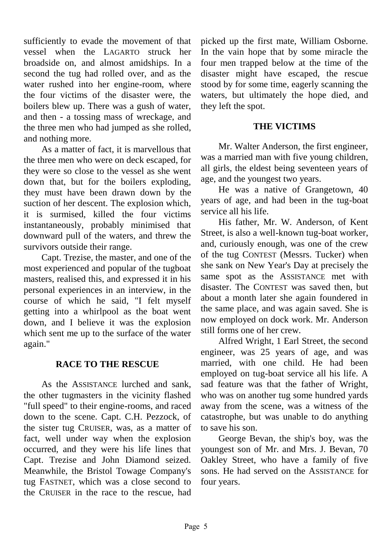sufficiently to evade the movement of that vessel when the LAGARTO struck her broadside on, and almost amidships. In a second the tug had rolled over, and as the water rushed into her engine-room, where the four victims of the disaster were, the boilers blew up. There was a gush of water, and then - a tossing mass of wreckage, and the three men who had jumped as she rolled, and nothing more.

As a matter of fact, it is marvellous that the three men who were on deck escaped, for they were so close to the vessel as she went down that, but for the boilers exploding, they must have been drawn down by the suction of her descent. The explosion which, it is surmised, killed the four victims instantaneously, probably minimised that downward pull of the waters, and threw the survivors outside their range.

Capt. Trezise, the master, and one of the most experienced and popular of the tugboat masters, realised this, and expressed it in his personal experiences in an interview, in the course of which he said, "I felt myself getting into a whirlpool as the boat went down, and I believe it was the explosion which sent me up to the surface of the water again."

#### **RACE TO THE RESCUE**

As the ASSISTANCE lurched and sank, the other tugmasters in the vicinity flashed "full speed" to their engine-rooms, and raced down to the scene. Capt. C.H. Pezzock, of the sister tug CRUISER, was, as a matter of fact, well under way when the explosion occurred, and they were his life lines that Capt. Trezise and John Diamond seized. Meanwhile, the Bristol Towage Company's tug FASTNET, which was a close second to the CRUISER in the race to the rescue, had picked up the first mate, William Osborne. In the vain hope that by some miracle the four men trapped below at the time of the disaster might have escaped, the rescue stood by for some time, eagerly scanning the waters, but ultimately the hope died, and they left the spot.

#### **THE VICTIMS**

Mr. Walter Anderson, the first engineer, was a married man with five young children, all girls, the eldest being seventeen years of age, and the youngest two years.

He was a native of Grangetown, 40 years of age, and had been in the tug-boat service all his life.

His father, Mr. W. Anderson, of Kent Street, is also a well-known tug-boat worker, and, curiously enough, was one of the crew of the tug CONTEST (Messrs. Tucker) when she sank on New Year's Day at precisely the same spot as the ASSISTANCE met with disaster. The CONTEST was saved then, but about a month later she again foundered in the same place, and was again saved. She is now employed on dock work. Mr. Anderson still forms one of her crew.

Alfred Wright, 1 Earl Street, the second engineer, was 25 years of age, and was married, with one child. He had been employed on tug-boat service all his life. A sad feature was that the father of Wright, who was on another tug some hundred yards away from the scene, was a witness of the catastrophe, but was unable to do anything to save his son.

George Bevan, the ship's boy, was the youngest son of Mr. and Mrs. J. Bevan, 70 Oakley Street, who have a family of five sons. He had served on the ASSISTANCE for four years.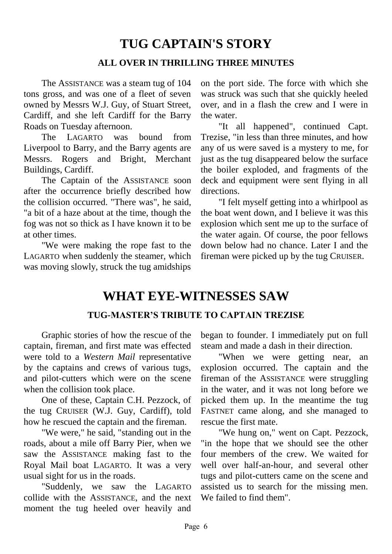## **TUG CAPTAIN'S STORY**

#### **ALL OVER IN THRILLING THREE MINUTES**

The ASSISTANCE was a steam tug of 104 tons gross, and was one of a fleet of seven owned by Messrs W.J. Guy, of Stuart Street, Cardiff, and she left Cardiff for the Barry Roads on Tuesday afternoon.

The LAGARTO was bound from Liverpool to Barry, and the Barry agents are Messrs. Rogers and Bright, Merchant Buildings, Cardiff.

The Captain of the ASSISTANCE soon after the occurrence briefly described how the collision occurred. "There was", he said, "a bit of a haze about at the time, though the fog was not so thick as I have known it to be at other times.

"We were making the rope fast to the LAGARTO when suddenly the steamer, which was moving slowly, struck the tug amidships

on the port side. The force with which she was struck was such that she quickly heeled over, and in a flash the crew and I were in the water.

"It all happened", continued Capt. Trezise, "in less than three minutes, and how any of us were saved is a mystery to me, for just as the tug disappeared below the surface the boiler exploded, and fragments of the deck and equipment were sent flying in all directions.

"I felt myself getting into a whirlpool as the boat went down, and I believe it was this explosion which sent me up to the surface of the water again. Of course, the poor fellows down below had no chance. Later I and the fireman were picked up by the tug CRUISER.

## **WHAT EYE-WITNESSES SAW**

#### **TUG-MASTER'S TRIBUTE TO CAPTAIN TREZISE**

Graphic stories of how the rescue of the captain, fireman, and first mate was effected were told to a *Western Mail* representative by the captains and crews of various tugs, and pilot-cutters which were on the scene when the collision took place.

One of these, Captain C.H. Pezzock, of the tug CRUISER (W.J. Guy, Cardiff), told how he rescued the captain and the fireman.

"We were," he said, "standing out in the roads, about a mile off Barry Pier, when we saw the ASSISTANCE making fast to the Royal Mail boat LAGARTO. It was a very usual sight for us in the roads.

"Suddenly, we saw the LAGARTO collide with the ASSISTANCE, and the next moment the tug heeled over heavily and

began to founder. I immediately put on full steam and made a dash in their direction.

"When we were getting near, an explosion occurred. The captain and the fireman of the ASSISTANCE were struggling in the water, and it was not long before we picked them up. In the meantime the tug FASTNET came along, and she managed to rescue the first mate.

"We hung on," went on Capt. Pezzock, "in the hope that we should see the other four members of the crew. We waited for well over half-an-hour, and several other tugs and pilot-cutters came on the scene and assisted us to search for the missing men. We failed to find them".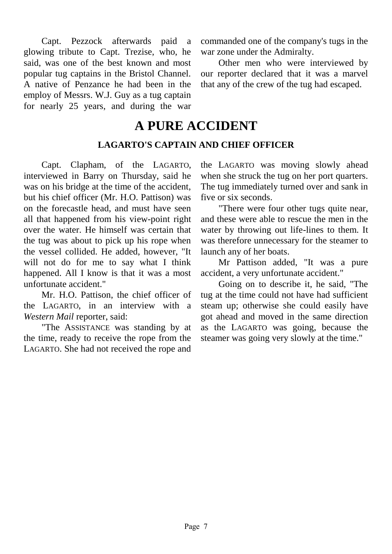Capt. Pezzock afterwards paid a glowing tribute to Capt. Trezise, who, he said, was one of the best known and most popular tug captains in the Bristol Channel. A native of Penzance he had been in the employ of Messrs. W.J. Guy as a tug captain for nearly 25 years, and during the war

commanded one of the company's tugs in the war zone under the Admiralty.

Other men who were interviewed by our reporter declared that it was a marvel that any of the crew of the tug had escaped.

## **A PURE ACCIDENT**

#### **LAGARTO'S CAPTAIN AND CHIEF OFFICER**

Capt. Clapham, of the LAGARTO, interviewed in Barry on Thursday, said he was on his bridge at the time of the accident, but his chief officer (Mr. H.O. Pattison) was on the forecastle head, and must have seen all that happened from his view-point right over the water. He himself was certain that the tug was about to pick up his rope when the vessel collided. He added, however, "It will not do for me to say what I think happened. All I know is that it was a most unfortunate accident."

Mr. H.O. Pattison, the chief officer of the LAGARTO, in an interview with a *Western Mail* reporter, said:

"The ASSISTANCE was standing by at the time, ready to receive the rope from the LAGARTO. She had not received the rope and the LAGARTO was moving slowly ahead when she struck the tug on her port quarters. The tug immediately turned over and sank in five or six seconds.

"There were four other tugs quite near, and these were able to rescue the men in the water by throwing out life-lines to them. It was therefore unnecessary for the steamer to launch any of her boats.

Mr Pattison added, "It was a pure accident, a very unfortunate accident."

Going on to describe it, he said, "The tug at the time could not have had sufficient steam up; otherwise she could easily have got ahead and moved in the same direction as the LAGARTO was going, because the steamer was going very slowly at the time."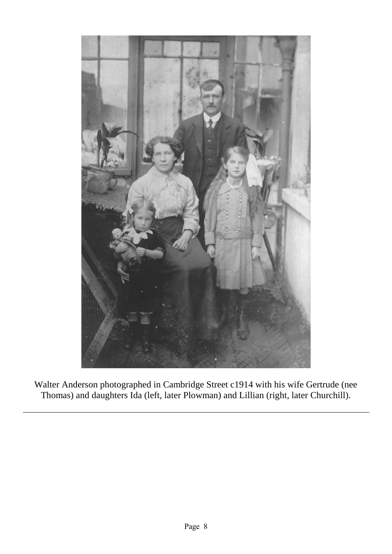

Walter Anderson photographed in Cambridge Street c1914 with his wife Gertrude (nee Thomas) and daughters Ida (left, later Plowman) and Lillian (right, later Churchill).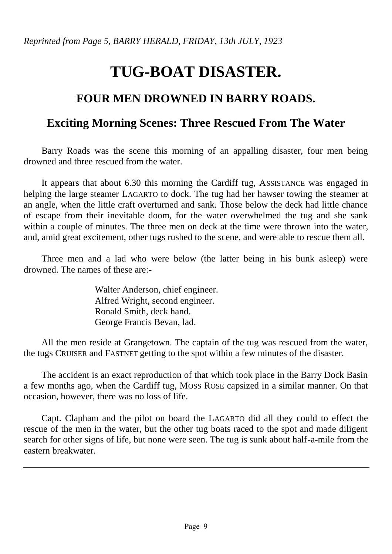*Reprinted from Page 5, BARRY HERALD, FRIDAY, 13th JULY, 1923*

## **TUG-BOAT DISASTER.**

## **FOUR MEN DROWNED IN BARRY ROADS.**

### **Exciting Morning Scenes: Three Rescued From The Water**

Barry Roads was the scene this morning of an appalling disaster, four men being drowned and three rescued from the water.

It appears that about 6.30 this morning the Cardiff tug, ASSISTANCE was engaged in helping the large steamer LAGARTO to dock. The tug had her hawser towing the steamer at an angle, when the little craft overturned and sank. Those below the deck had little chance of escape from their inevitable doom, for the water overwhelmed the tug and she sank within a couple of minutes. The three men on deck at the time were thrown into the water, and, amid great excitement, other tugs rushed to the scene, and were able to rescue them all.

Three men and a lad who were below (the latter being in his bunk asleep) were drowned. The names of these are:-

> Walter Anderson, chief engineer. Alfred Wright, second engineer. Ronald Smith, deck hand. George Francis Bevan, lad.

All the men reside at Grangetown. The captain of the tug was rescued from the water, the tugs CRUISER and FASTNET getting to the spot within a few minutes of the disaster.

The accident is an exact reproduction of that which took place in the Barry Dock Basin a few months ago, when the Cardiff tug, MOSS ROSE capsized in a similar manner. On that occasion, however, there was no loss of life.

Capt. Clapham and the pilot on board the LAGARTO did all they could to effect the rescue of the men in the water, but the other tug boats raced to the spot and made diligent search for other signs of life, but none were seen. The tug is sunk about half-a-mile from the eastern breakwater.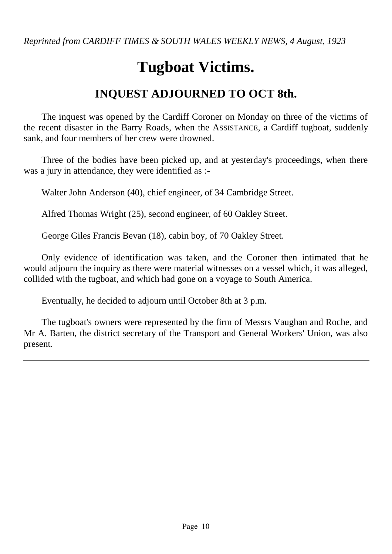*Reprinted from CARDIFF TIMES & SOUTH WALES WEEKLY NEWS, 4 August, 1923*

## **Tugboat Victims.**

## **INQUEST ADJOURNED TO OCT 8th.**

The inquest was opened by the Cardiff Coroner on Monday on three of the victims of the recent disaster in the Barry Roads, when the ASSISTANCE, a Cardiff tugboat, suddenly sank, and four members of her crew were drowned.

Three of the bodies have been picked up, and at yesterday's proceedings, when there was a jury in attendance, they were identified as :-

Walter John Anderson (40), chief engineer, of 34 Cambridge Street.

Alfred Thomas Wright (25), second engineer, of 60 Oakley Street.

George Giles Francis Bevan (18), cabin boy, of 70 Oakley Street.

Only evidence of identification was taken, and the Coroner then intimated that he would adjourn the inquiry as there were material witnesses on a vessel which, it was alleged, collided with the tugboat, and which had gone on a voyage to South America.

Eventually, he decided to adjourn until October 8th at 3 p.m.

The tugboat's owners were represented by the firm of Messrs Vaughan and Roche, and Mr A. Barten, the district secretary of the Transport and General Workers' Union, was also present.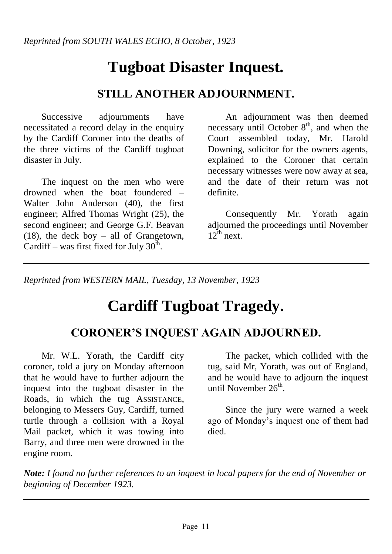*Reprinted from SOUTH WALES ECHO, 8 October, 1923*

## **Tugboat Disaster Inquest.**

## **STILL ANOTHER ADJOURNMENT.**

Successive adjournments have necessitated a record delay in the enquiry by the Cardiff Coroner into the deaths of the three victims of the Cardiff tugboat disaster in July.

The inquest on the men who were drowned when the boat foundered – Walter John Anderson (40), the first engineer; Alfred Thomas Wright (25), the second engineer; and George G.F. Beavan (18), the deck boy – all of Grangetown, Cardiff – was first fixed for July  $30<sup>th</sup>$ .

An adjournment was then deemed necessary until October  $8<sup>th</sup>$ , and when the Court assembled today, Mr. Harold Downing, solicitor for the owners agents, explained to the Coroner that certain necessary witnesses were now away at sea, and the date of their return was not definite.

Consequently Mr. Yorath again adjourned the proceedings until November  $12^{th}$  next.

*Reprinted from WESTERN MAIL, Tuesday, 13 November, 1923*

## **Cardiff Tugboat Tragedy.**

### **CORONER'S INQUEST AGAIN ADJOURNED.**

Mr. W.L. Yorath, the Cardiff city coroner, told a jury on Monday afternoon that he would have to further adjourn the inquest into the tugboat disaster in the Roads, in which the tug ASSISTANCE, belonging to Messers Guy, Cardiff, turned turtle through a collision with a Royal Mail packet, which it was towing into Barry, and three men were drowned in the engine room.

The packet, which collided with the tug, said Mr, Yorath, was out of England, and he would have to adjourn the inquest until November  $26<sup>th</sup>$ .

Since the jury were warned a week ago of Monday's inquest one of them had died.

*Note: I found no further references to an inquest in local papers for the end of November or beginning of December 1923.*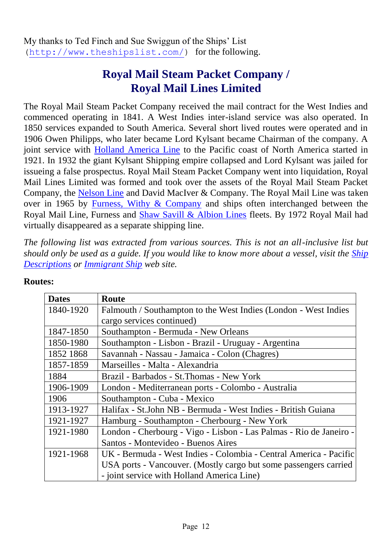## **Royal Mail Steam Packet Company / Royal Mail Lines Limited**

The Royal Mail Steam Packet Company received the mail contract for the West Indies and commenced operating in 1841. A West Indies inter-island service was also operated. In 1850 services expanded to South America. Several short lived routes were operated and in 1906 Owen Philipps, who later became Lord Kylsant became Chairman of the company. A joint service with **Holland America Line** to the Pacific coast of North America started in 1921. In 1932 the giant Kylsant Shipping empire collapsed and Lord Kylsant was jailed for issueing a false prospectus. Royal Mail Steam Packet Company went into liquidation, Royal Mail Lines Limited was formed and took over the assets of the Royal Mail Steam Packet Company, the [Nelson Line](http://www.theshipslist.com/ships/lines/NelsonLine.html) and David MacIver & Company. The Royal Mail Line was taken over in 1965 by [Furness, Withy & Company](http://www.theshipslist.com/ships/lines/furness.html) and ships often interchanged between the Royal Mail Line, Furness and [Shaw Savill & Albion Lines](http://www.theshipslist.com/ships/lines/shaw.html) fleets. By 1972 Royal Mail had virtually disappeared as a separate shipping line.

*The following list was extracted from various sources. This is not an all-inclusive list but should only be used as a guide. If you would like to know more about a vessel, visit the [Ship](http://www.theshipslist.com/ships/descriptions/index.htm)  [Descriptions](http://www.theshipslist.com/ships/descriptions/index.htm) or [Immigrant Ship](http://www.fortunecity.com/littleitaly/amalfi/13/ships.htm) web site.*

| <b>Dates</b> | <b>Route</b>                                                       |
|--------------|--------------------------------------------------------------------|
| 1840-1920    | Falmouth / Southampton to the West Indies (London - West Indies    |
|              | cargo services continued)                                          |
| 1847-1850    | Southampton - Bermuda - New Orleans                                |
| 1850-1980    | Southampton - Lisbon - Brazil - Uruguay - Argentina                |
| 1852 1868    | Savannah - Nassau - Jamaica - Colon (Chagres)                      |
| 1857-1859    | Marseilles - Malta - Alexandria                                    |
| 1884         | Brazil - Barbados - St. Thomas - New York                          |
| 1906-1909    | London - Mediterranean ports - Colombo - Australia                 |
| 1906         | Southampton - Cuba - Mexico                                        |
| 1913-1927    | Halifax - St.John NB - Bermuda - West Indies - British Guiana      |
| 1921-1927    | Hamburg - Southampton - Cherbourg - New York                       |
| 1921-1980    | London - Cherbourg - Vigo - Lisbon - Las Palmas - Rio de Janeiro - |
|              | Santos - Montevideo - Buenos Aires                                 |
| 1921-1968    | UK - Bermuda - West Indies - Colombia - Central America - Pacific  |
|              | USA ports - Vancouver. (Mostly cargo but some passengers carried   |
|              | - joint service with Holland America Line)                         |

#### **Routes:**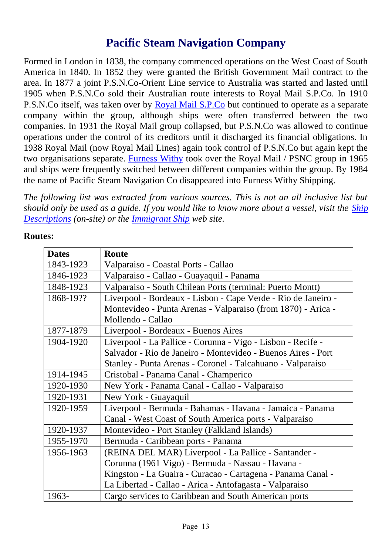## **Pacific Steam Navigation Company**

Formed in London in 1838, the company commenced operations on the West Coast of South America in 1840. In 1852 they were granted the British Government Mail contract to the area. In 1877 a joint P.S.N.Co-Orient Line service to Australia was started and lasted until 1905 when P.S.N.Co sold their Australian route interests to Royal Mail S.P.Co. In 1910 P.S.N.Co itself, was taken over by [Royal Mail S.P.Co](http://www.theshipslist.com/ships/lines/royalmail.html) but continued to operate as a separate company within the group, although ships were often transferred between the two companies. In 1931 the Royal Mail group collapsed, but P.S.N.Co was allowed to continue operations under the control of its creditors until it discharged its financial obligations. In 1938 Royal Mail (now Royal Mail Lines) again took control of P.S.N.Co but again kept the two organisations separate. [Furness Withy](http://www.theshipslist.com/ships/lines/furness.html) took over the Royal Mail / PSNC group in 1965 and ships were frequently switched between different companies within the group. By 1984 the name of Pacific Steam Navigation Co disappeared into Furness Withy Shipping.

*The following list was extracted from various sources. This is not an all inclusive list but should only be used as a guide. If you would like to know more about a vessel, visit the [Ship](http://www.theshipslist.com/ships/descriptions/index.htm)  [Descriptions](http://www.theshipslist.com/ships/descriptions/index.htm) (on-site) or the [Immigrant Ship](http://www.fortunecity.com/littleitaly/amalfi/13/ships.htm) web site.*

| <b>Dates</b> | Route                                                         |  |  |  |
|--------------|---------------------------------------------------------------|--|--|--|
| 1843-1923    | Valparaiso - Coastal Ports - Callao                           |  |  |  |
| 1846-1923    | Valparaiso - Callao - Guayaquil - Panama                      |  |  |  |
| 1848-1923    | Valparaiso - South Chilean Ports (terminal: Puerto Montt)     |  |  |  |
| 1868-19??    | Liverpool - Bordeaux - Lisbon - Cape Verde - Rio de Janeiro - |  |  |  |
|              | Montevideo - Punta Arenas - Valparaiso (from 1870) - Arica -  |  |  |  |
|              | Mollendo - Callao                                             |  |  |  |
| 1877-1879    | Liverpool - Bordeaux - Buenos Aires                           |  |  |  |
| 1904-1920    | Liverpool - La Pallice - Corunna - Vigo - Lisbon - Recife -   |  |  |  |
|              | Salvador - Rio de Janeiro - Montevideo - Buenos Aires - Port  |  |  |  |
|              | Stanley - Punta Arenas - Coronel - Talcahuano - Valparaiso    |  |  |  |
| 1914-1945    | Cristobal - Panama Canal - Champerico                         |  |  |  |
| 1920-1930    | New York - Panama Canal - Callao - Valparaiso                 |  |  |  |
| 1920-1931    | New York - Guayaquil                                          |  |  |  |
| 1920-1959    | Liverpool - Bermuda - Bahamas - Havana - Jamaica - Panama     |  |  |  |
|              | Canal - West Coast of South America ports - Valparaiso        |  |  |  |
| 1920-1937    | Montevideo - Port Stanley (Falkland Islands)                  |  |  |  |
| 1955-1970    | Bermuda - Caribbean ports - Panama                            |  |  |  |
| 1956-1963    | (REINA DEL MAR) Liverpool - La Pallice - Santander -          |  |  |  |
|              | Corunna (1961 Vigo) - Bermuda - Nassau - Havana -             |  |  |  |
|              | Kingston - La Guaira - Curacao - Cartagena - Panama Canal -   |  |  |  |
|              | La Libertad - Callao - Arica - Antofagasta - Valparaiso       |  |  |  |
| 1963-        | Cargo services to Caribbean and South American ports          |  |  |  |

#### **Routes:**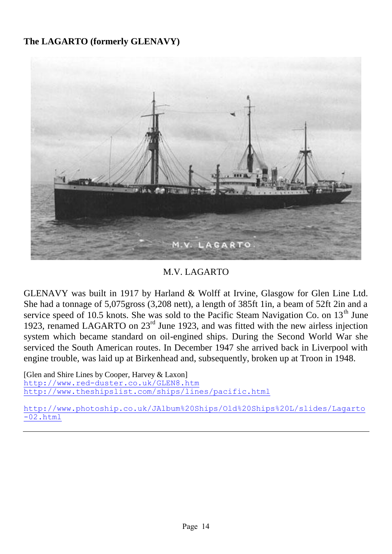#### **The LAGARTO (formerly GLENAVY)**



M.V. LAGARTO

GLENAVY was built in 1917 by Harland & Wolff at Irvine, Glasgow for Glen Line Ltd. She had a tonnage of 5,075gross (3,208 nett), a length of 385ft 1in, a beam of 52ft 2in and a service speed of 10.5 knots. She was sold to the Pacific Steam Navigation Co. on  $13<sup>th</sup>$  June 1923, renamed LAGARTO on 23rd June 1923, and was fitted with the new airless injection system which became standard on oil-engined ships. During the Second World War she serviced the South American routes. In December 1947 she arrived back in Liverpool with engine trouble, was laid up at Birkenhead and, subsequently, broken up at Troon in 1948.

[Glen and Shire Lines by Cooper, Harvey & Laxon] <http://www.red-duster.co.uk/GLEN8.htm> <http://www.theshipslist.com/ships/lines/pacific.html>

[http://www.photoship.co.uk/JAlbum%20Ships/Old%20Ships%20L/slides/Lagarto](http://www.photoship.co.uk/JAlbum%20Ships/Old%20Ships%20L/slides/Lagarto-02.html)  $-02.$ html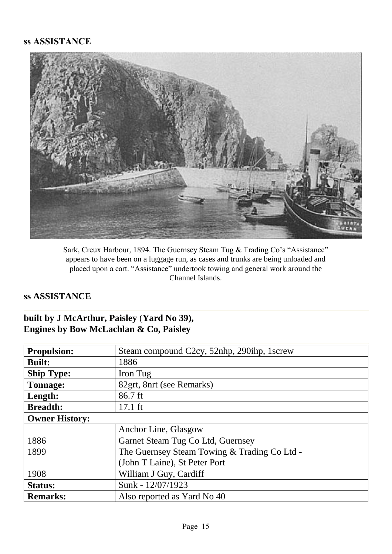#### **ss ASSISTANCE**



Sark, Creux Harbour, 1894. The Guernsey Steam Tug & Trading Co's "Assistance" appears to have been on a luggage run, as cases and trunks are being unloaded and placed upon a cart. "Assistance" undertook towing and general work around the Channel Islands.

#### **ss ASSISTANCE**

#### **built by J McArthur, Paisley** (**Yard No 39), Engines by Bow McLachlan & Co, Paisley**

| <b>Propulsion:</b>    | Steam compound C2cy, 52nhp, 290ihp, 1screw   |  |  |  |  |
|-----------------------|----------------------------------------------|--|--|--|--|
| <b>Built:</b>         | 1886                                         |  |  |  |  |
| <b>Ship Type:</b>     | Iron Tug                                     |  |  |  |  |
| <b>Tonnage:</b>       | 82grt, 8nrt (see Remarks)                    |  |  |  |  |
| Length:               | 86.7 ft                                      |  |  |  |  |
| <b>Breadth:</b>       | $17.1$ ft                                    |  |  |  |  |
| <b>Owner History:</b> |                                              |  |  |  |  |
|                       | Anchor Line, Glasgow                         |  |  |  |  |
| 1886                  | Garnet Steam Tug Co Ltd, Guernsey            |  |  |  |  |
| 1899                  | The Guernsey Steam Towing & Trading Co Ltd - |  |  |  |  |
|                       | (John T Laine), St Peter Port                |  |  |  |  |
| 1908                  | William J Guy, Cardiff                       |  |  |  |  |
| <b>Status:</b>        | Sunk - 12/07/1923                            |  |  |  |  |
| <b>Remarks:</b>       | Also reported as Yard No 40                  |  |  |  |  |